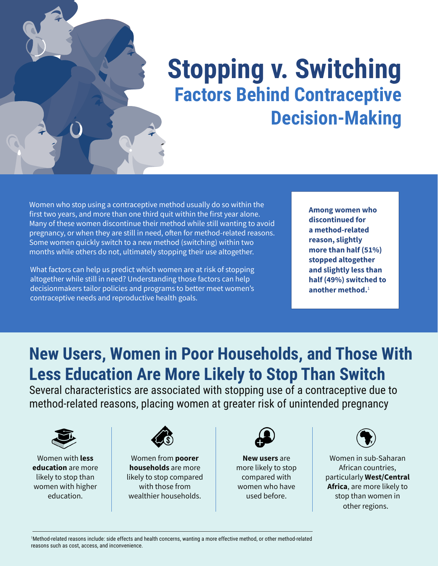

# **Stopping v. Switching Factors Behind Contraceptive Decision-Making**

Women who stop using a contraceptive method usually do so within the first two years, and more than one third quit within the first year alone. Many of these women discontinue their method while still wanting to avoid pregnancy, or when they are still in need, often for method-related reasons. Some women quickly switch to a new method (switching) within two months while others do not, ultimately stopping their use altogether.

What factors can help us predict which women are at risk of stopping altogether while still in need? Understanding those factors can help decisionmakers tailor policies and programs to better meet women's contraceptive needs and reproductive health goals.

**Among women who discontinued for a method-related reason, slightly more than half (51%) stopped altogether and slightly less than half (49%) switched to**  another method.<sup>1</sup>

### **New Users, Women in Poor Households, and Those With Less Education Are More Likely to Stop Than Switch**

Several characteristics are associated with stopping use of a contraceptive due to method-related reasons, placing women at greater risk of unintended pregnancy



Women with **less education** are more likely to stop than women with higher education.



Women from **poorer households** are more likely to stop compared with those from wealthier households.



**New users** are more likely to stop compared with women who have used before.



Women in sub-Saharan African countries, particularly **West/Central Africa**, are more likely to stop than women in other regions.

1 Method-related reasons include: side effects and health concerns, wanting a more effective method, or other method-related reasons such as cost, access, and inconvenience.